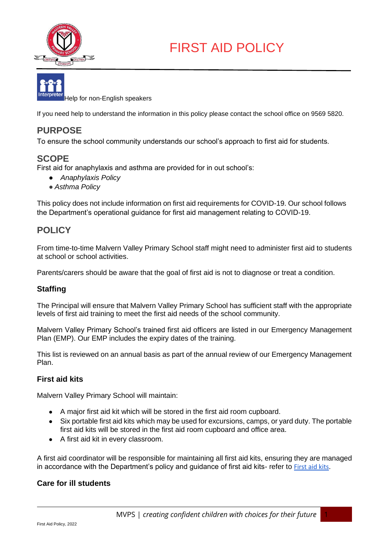



If you need help to understand the information in this policy please contact the school office on 9569 5820.

# **PURPOSE**

To ensure the school community understands our school's approach to first aid for students.

## **SCOPE**

First aid for anaphylaxis and asthma are provided for in out school's:

- *Anaphylaxis Policy*
- *Asthma Policy*

This policy does not include information on first aid requirements for COVID-19. Our school follows the Department's operational guidance for first aid management relating to COVID-19.

## **POLICY**

From time-to-time Malvern Valley Primary School staff might need to administer first aid to students at school or school activities.

Parents/carers should be aware that the goal of first aid is not to diagnose or treat a condition.

### **Staffing**

The Principal will ensure that Malvern Valley Primary School has sufficient staff with the appropriate levels of first aid training to meet the first aid needs of the school community.

Malvern Valley Primary School's trained first aid officers are listed in our Emergency Management Plan (EMP). Our EMP includes the expiry dates of the training.

This list is reviewed on an annual basis as part of the annual review of our Emergency Management Plan.

#### **First aid kits**

Malvern Valley Primary School will maintain:

- A major first aid kit which will be stored in the first aid room cupboard.
- Six portable first aid kits which may be used for excursions, camps, or yard duty. The portable first aid kits will be stored in the first aid room cupboard and office area.
- A first aid kit in every classroom.

A first aid coordinator will be responsible for maintaining all first aid kits, ensuring they are managed in accordance with the Department's policy and guidance of first aid kits- refer to **First aid kits**.

#### **Care for ill students**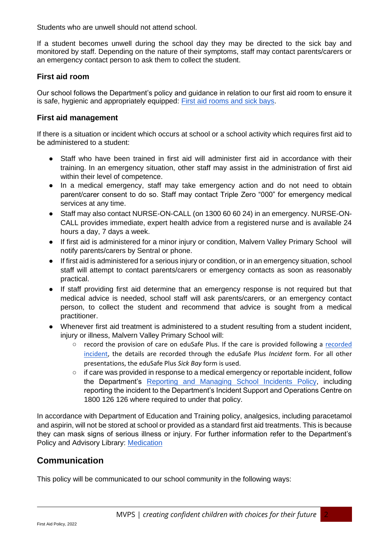Students who are unwell should not attend school.

If a student becomes unwell during the school day they may be directed to the sick bay and monitored by staff. Depending on the nature of their symptoms, staff may contact parents/carers or an emergency contact person to ask them to collect the student.

#### **First aid room**

Our school follows the Department's policy and guidance in relation to our first aid room to ensure it is safe, hygienic and appropriately equipped: [First aid rooms and sick bays.](https://www2.education.vic.gov.au/pal/first-aid-students-and-staff/guidance/first-aid-rooms-and-sick-bays)

#### **First aid management**

If there is a situation or incident which occurs at school or a school activity which requires first aid to be administered to a student:

- Staff who have been trained in first aid will administer first aid in accordance with their training. In an emergency situation, other staff may assist in the administration of first aid within their level of competence.
- In a medical emergency, staff may take emergency action and do not need to obtain parent/carer consent to do so. Staff may contact Triple Zero "000" for emergency medical services at any time.
- Staff may also contact NURSE-ON-CALL (on 1300 60 60 24) in an emergency. NURSE-ON-CALL provides immediate, expert health advice from a registered nurse and is available 24 hours a day, 7 days a week.
- If first aid is administered for a minor injury or condition, Malvern Valley Primary School will notify parents/carers by Sentral or phone.
- If first aid is administered for a serious injury or condition, or in an emergency situation, school staff will attempt to contact parents/carers or emergency contacts as soon as reasonably practical.
- If staff providing first aid determine that an emergency response is not required but that medical advice is needed, school staff will ask parents/carers, or an emergency contact person, to collect the student and recommend that advice is sought from a medical practitioner.
- Whenever first aid treatment is administered to a student resulting from a student incident, injury or illness, Malvern Valley Primary School will:
	- record the provision of c[a](https://www2.education.vic.gov.au/pal/reporting-and-managing-school-incidents-including-emergencies/policy)re on eduSafe Plus. If the care is provided following a recorded [incident,](https://www2.education.vic.gov.au/pal/reporting-and-managing-school-incidents-including-emergencies/policy) the details are recorded through the eduSafe Plus *Incident* form. For all other presentations, the eduSafe Plus *Sick Bay* form is used.
	- if care was provided in response to a medical emergency or reportable incident, follow the Department's [Reporting and Managing School Incidents Policy,](https://www2.education.vic.gov.au/pal/reporting-and-managing-school-incidents-including-emergencies/policy) including reporting the incident to the Department's Incident Support and Operations Centre on 1800 126 126 where required to under that policy.

In accordance with Department of Education and Training policy, analgesics, including paracetamol and aspirin, will not be stored at school or provided as a standard first aid treatments. This is because they can mask signs of serious illness or injury. For further information refer to the Department's Policy and Advisory Library: [Medication](https://www2.education.vic.gov.au/pal/medication/policy) 

## **Communication**

This policy will be communicated to our school community in the following ways: